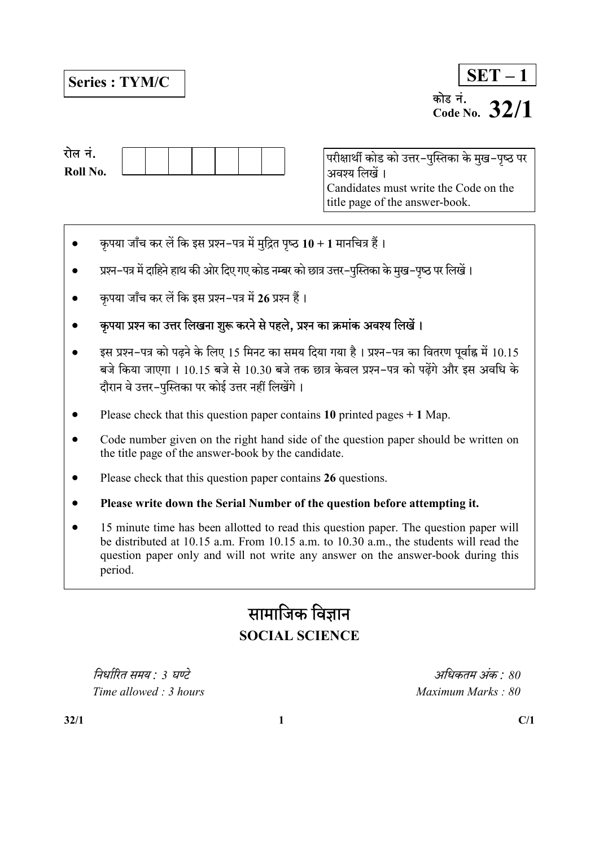# Series : TYM/C

| <b>SET</b>         |            |  |  |  |  |  |  |
|--------------------|------------|--|--|--|--|--|--|
| कोड न.<br>Code No. | <b>2/1</b> |  |  |  |  |  |  |

| रोल न.   |  |  |  |  |
|----------|--|--|--|--|
| Roll No. |  |  |  |  |

परीक्षार्थी कोड को उत्तर-पुस्तिका के मुख-पृष्ठ पर अवश्य लिखें । Candidates must write the Code on the title page of the answer-book.

- कृपया जाँच कर लें कि इस प्रश्न-पत्र में मुद्रित पृष्ठ  $10 + 1$  मानचित्र हैं।
- प्रश्न-पत्र में दाहिने हाथ की ओर दिए गए कोड नम्बर को छात्र उत्तर-पुस्तिका के मुख-पृष्ठ पर लिखें।
- कृपया जाँच कर लें कि इस प्रश्न-पत्र में 26 प्रश्न हैं।
- कुपया प्रश्न का उत्तर लिखना शुरू करने से पहले, प्रश्न का क्रमांक अवश्य लिखें।
- इस प्रश्न-पत्र को पढने के लिए 15 मिनट का समय दिया गया है। प्रश्न-पत्र का वितरण पूर्वाह्न में 10.15 बजे किया जाएगा । 10.15 बजे से 10.30 बजे तक छात्र केवल प्रश्न-पत्र को पढेंगे और इस अवधि के दौरान वे उत्तर-पुस्तिका पर कोई उत्तर नहीं लिखेंगे।
- Please check that this question paper contains 10 printed pages  $+ 1$  Map.
- Code number given on the right hand side of the question paper should be written on the title page of the answer-book by the candidate.
- Please check that this question paper contains 26 questions.
- Please write down the Serial Number of the question before attempting it.
- 15 minute time has been allotted to read this question paper. The question paper will be distributed at 10.15 a.m. From 10.15 a.m. to 10.30 a.m., the students will read the question paper only and will not write any answer on the answer-book during this period.

# सामाजिक विज्ञान SOCIAL SCIENCE

 : 3 : 80  $Time allowed: 3 hours$  Maximum Marks : 80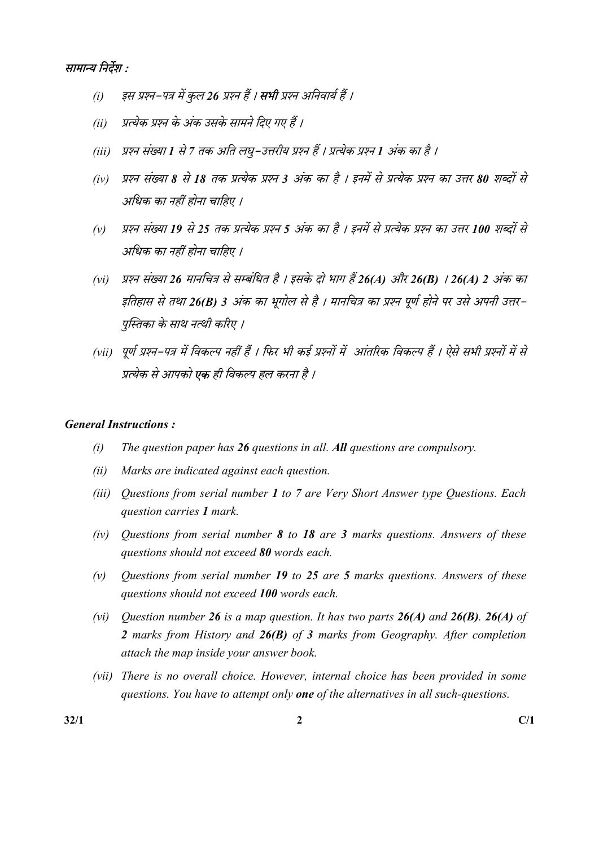

- (i) इस प्रश्न-पत्र में कुल 26 प्रश्न हैं । **सभी** प्रश्न अनिवार्य हैं ।
- (ii) प्रत्येक प्रश्न के अंक उसके सामने दिए गए हैं ।
- (iii) प्रश्न संख्या 1 से 7 तक अति लघ्–उत्तरीय प्रश्न हैं । प्रत्येक प्रश्न 1 अंक का है ।
- (iv) प्रश्न संख्या 8 से 18 तक प्रत्येक प्रश्न 3 अंक का है । इनमें से प्रत्येक प्रश्न का उत्तर 80 शब्दों से अधिक का नहीं होना चाहिए ।
- (v) प्रश्न संख्या 19 से 25 तक प्रत्येक प्रश्न 5 अंक का है । इनमें से प्रत्येक प्रश्न का उत्तर 100 शब्दों से अधिक का नहीं होना चाहिए ।
- (vi) प्रश्न संख्या 26 मानचित्र से सम्बंधित है । इसके दो भाग हैं 26(A) और 26(B) । 26(A) 2 अंक का इतिहास से तथा 26(B) 3 अंक का भूगोल से है । मानचित्र का प्रश्न पूर्ण होने पर उसे अपनी उत्तर– पुस्तिका के साथ नत्थी करिए ।
- (vii) पूर्ण प्रश्न-पत्र में विकल्प नहीं हैं । फिर भी कई प्रश्नों में आंतरिक विकल्प हैं । ऐसे सभी प्रश्नों म प्रत्येक से आपको **एक** ही विकल्प हल करना है ।

## General Instructions :

- (i) The question paper has  $26$  questions in all. All questions are compulsory.
- (ii) Marks are indicated against each question.
- (iii) Questions from serial number 1 to 7 are Very Short Answer type Questions. Each question carries 1 mark.
- (iv) Questions from serial number 8 to 18 are 3 marks questions. Answers of these questions should not exceed 80 words each.
- (v) Ouestions from serial number 19 to 25 are 5 marks questions. Answers of these questions should not exceed 100 words each.
- (vi) Question number 26 is a map question. It has two parts  $26(A)$  and  $26(B)$ . 26(A) of 2 marks from History and 26(B) of 3 marks from Geography. After completion attach the map inside your answer book.
- (vii) There is no overall choice. However, internal choice has been provided in some questions. You have to attempt only **one** of the alternatives in all such-questions.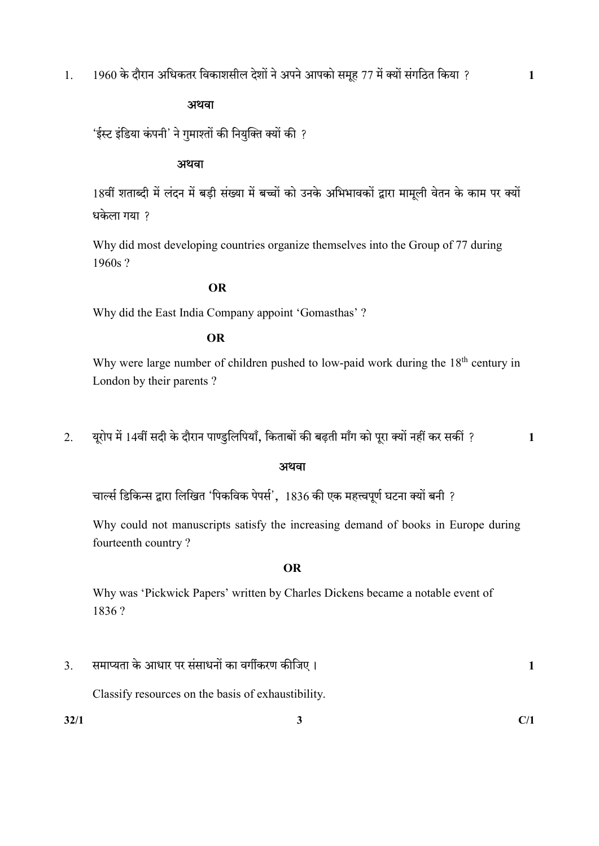## अथवा

'ईस्ट इंडिया कंपनी' ने गुमाश्तों की नियुक्ति क्यों की ?

## अथवा

18वीं शताब्दी में लंदन में बड़ी संख्या में बच्चों को उनके अभिभावकों द्वारा मामूली वेतन के काम पर क्यों धकेला गया ?

 Why did most developing countries organize themselves into the Group of 77 during 1960s ?

## OR

Why did the East India Company appoint 'Gomasthas' ?

## OR

Why were large number of children pushed to low-paid work during the  $18<sup>th</sup>$  century in London by their parents ?

2. 14 , ? 1

## अथवा

'चार्ल्स डिकिन्स द्वारा लिखित 'पिकविक पेपर्स', 1836 की एक महत्त्वपूर्ण घटना क्यों बनी ?

 Why could not manuscripts satisfy the increasing demand of books in Europe during fourteenth country ?

## OR

 Why was 'Pickwick Papers' written by Charles Dickens became a notable event of 1836 ?

3. 1

Classify resources on the basis of exhaustibility.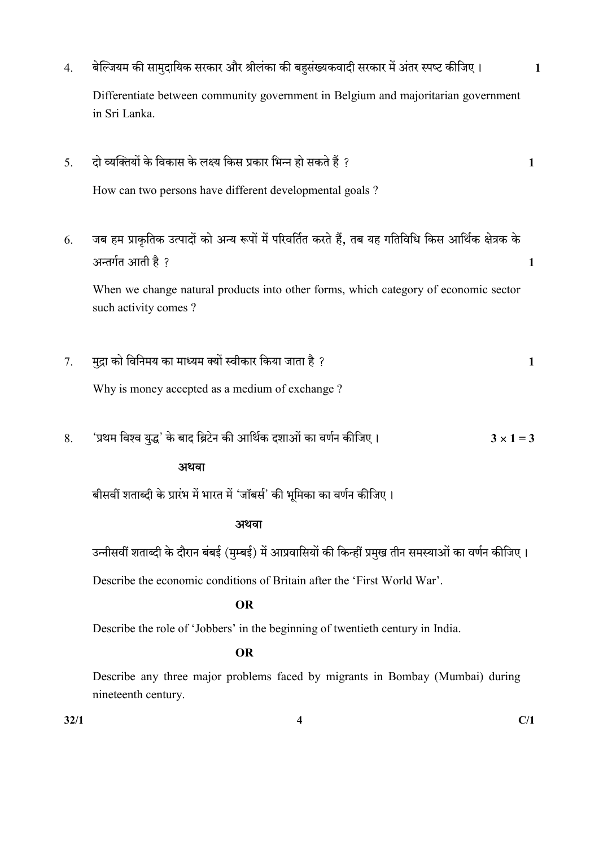- 4. 1 Differentiate between community government in Belgium and majoritarian government in Sri Lanka.
- 5. ? 1

How can two persons have different developmental goals ?

6. जब हम प्राकृतिक उत्पादों को अन्य रूपों में परिवर्तित करते हैं, तब यह गतिविधि किस आर्थिक क्षेत्रक के ? 1

 When we change natural products into other forms, which category of economic sector such activity comes ?

 $7.$  मद्रा को विनिमय का माध्यम क्यों स्वीकार किया जाता है ?  $\sim$  1

Why is money accepted as a medium of exchange ?

8. 'प्रथम विश्व युद्ध' के बाद ब्रिटेन की आर्थिक दशाओं का वर्णन कीजिए ।  $3 \times 1 = 3$ 

## अथवा

बीसवीं शताब्दी के प्रारंभ में भारत में 'जॉबर्स' की भूमिका का वर्णन कीजिए।

## स्त्रीय संस्थान के साथ संस्थान के संस्थान के संस्थान के संस्थान के संस्थान के संस्थान के संस्थान के संस्थान के

उन्नीसवीं शताब्दी के दौरान बंबई (मुम्बई) में आप्रवासियों की किन्हीं प्रमुख तीन समस्याओं का वर्णन कीजिए।

Describe the economic conditions of Britain after the 'First World War'.

## OR

Describe the role of 'Jobbers' in the beginning of twentieth century in India.

## OR

Describe any three major problems faced by migrants in Bombay (Mumbai) during nineteenth century.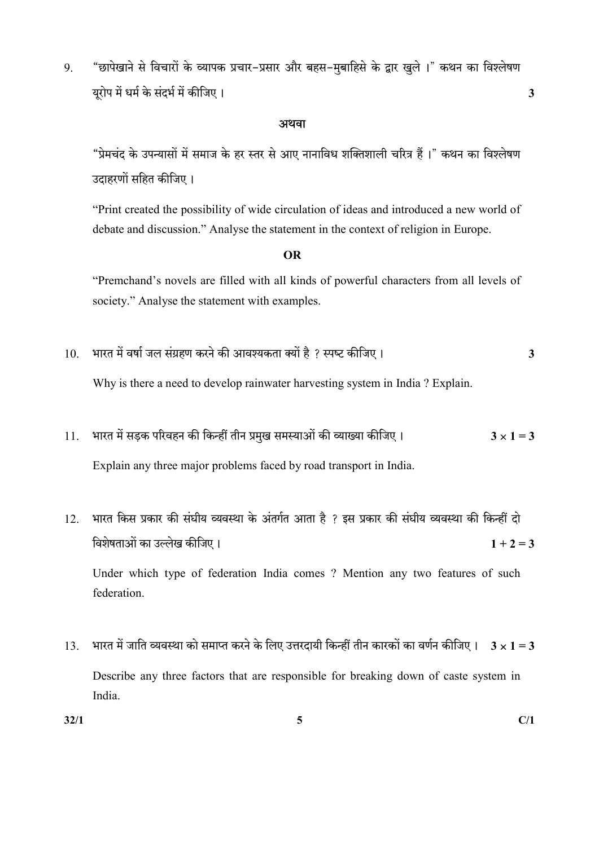9. "छापेखाने से विचारों के व्यापक प्रचार-प्रसार और बहस-मुबाहिसे के द्वार खुले ।" कथन का विश्लेषण यूरोप में धर्म के संदर्भ में कीजिए । यो उनके साथ प्रकाश कर से उनके अन्न करने के अन्न अपनी अपनी अपनी अपनी अपनी

### अथवा

"प्रेमचंद के उपन्यासों में समाज के हर स्तर से आए नानाविध शक्तिशाली चरित्र हैं।" कथन का विश्लेषण उदाहरणों सहित कीजिए।

 "Print created the possibility of wide circulation of ideas and introduced a new world of debate and discussion." Analyse the statement in the context of religion in Europe.

## OR

 "Premchand's novels are filled with all kinds of powerful characters from all levels of society." Analyse the statement with examples.

 $10.$  भारत में वर्षा जल संग्रहण करने की आवश्यकता क्यों है ? स्पष्ट कीजिए।  $\,$ 

Why is there a need to develop rainwater harvesting system in India ? Explain.

- 11. 3 1 = 3 Explain any three major problems faced by road transport in India.
- 12. भारत किस प्रकार की संघीय व्यवस्था के अंतर्गत आता है ? इस प्रकार की संघीय व्यवस्था की किन्हीं दो विशेषताओं का उल्लेख कीजिए ।  $1 + 2 = 3$  Under which type of federation India comes ? Mention any two features of such federation.
- 13. भारत में जाति व्यवस्था को समाप्त करने के लिए उत्तरदायी किन्हीं तीन कारकों का वर्णन कीजिए ।  $3 \times 1$  =  $3$  Describe any three factors that are responsible for breaking down of caste system in India.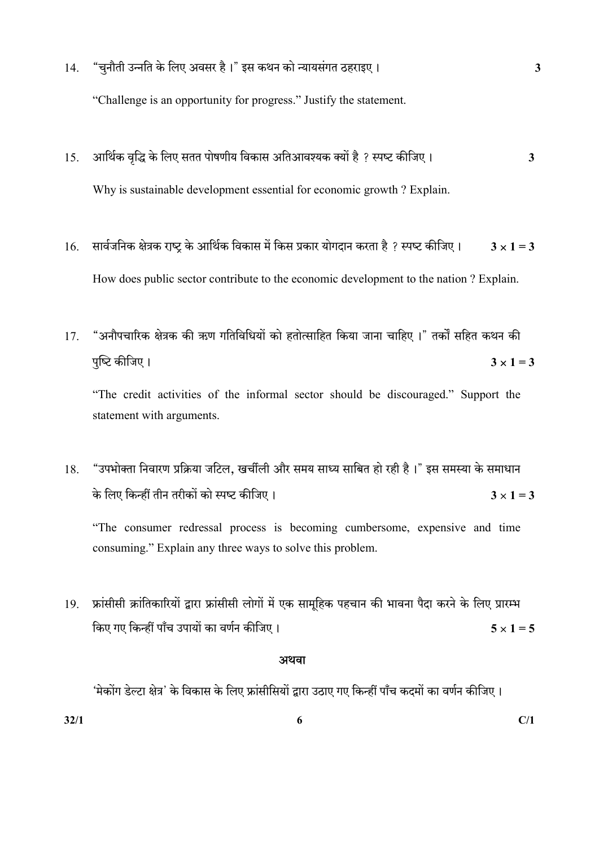- 14. "चुनौती उन्नति के लिए अवसर है।" इस कथन को न्यायसंगत ठहराइए।  $\,$ "Challenge is an opportunity for progress." Justify the statement.
- 15. ? 3 Why is sustainable development essential for economic growth ? Explain.
- 16. सार्वजनिक क्षेत्रक राष्ट्र के आर्थिक विकास में किस प्रकार योगदान करता है ? स्पष्ट कीजिए।  $3 \times 1 = 3$ How does public sector contribute to the economic development to the nation ? Explain.
- 17. "अनौपचारिक क्षेत्रक की ऋण गतिविधियों को हतोत्साहित किया जाना चाहिए ।" तर्कों सहित कथन की पुष्टि कीजिए ।  $3 \times 1 = 3$

 "The credit activities of the informal sector should be discouraged." Support the statement with arguments.

18. "उपभोक्ता निवारण प्रक्रिया जटिल, खर्चीली और समय साध्य साबित हो रही है।" इस समस्या के समाधान के लिए किन्हीं तीन तरीकों को स्पष्ट कीजिए ।  $3 \times 1 = 3$ 

 "The consumer redressal process is becoming cumbersome, expensive and time consuming." Explain any three ways to solve this problem.

19. फ्रांसीसी क्रांतिकारियों द्वारा फ्रांसीसी लोगों में एक सामहिक पहचान की भावना पैदा करने के लिए प्रारम्भ किए गए किन्हीं पाँच उपायों का वर्णन कीजिए ।  $5 \times 1 = 5$ 

## अथवा

'मेकोंग डेल्टा क्षेत्र' के विकास के लिए फ्रांसीसियों द्वारा उठाए गए किन्हीं पाँच कदमों का वर्णन कीजिए।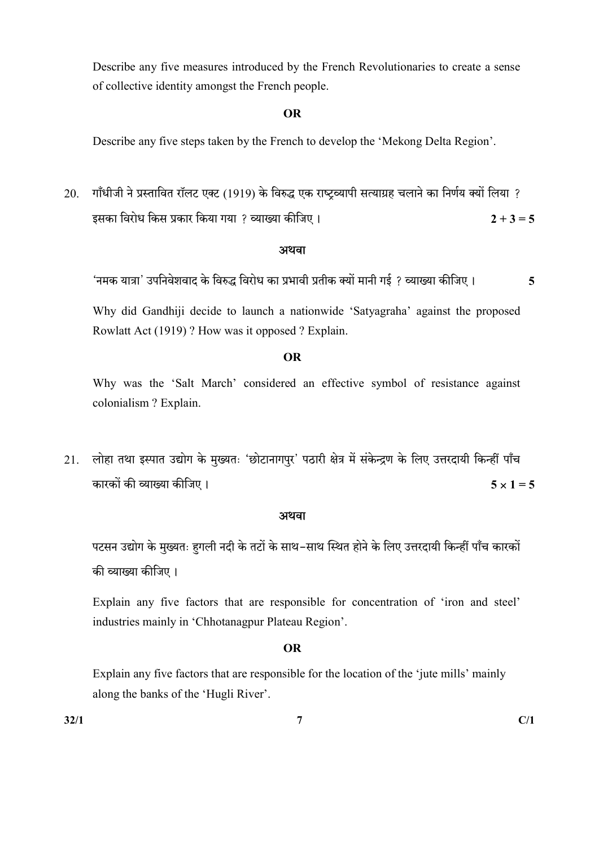Describe any five measures introduced by the French Revolutionaries to create a sense of collective identity amongst the French people.

## OR

Describe any five steps taken by the French to develop the 'Mekong Delta Region'.

20. गाँधीजी ने प्रस्तावित रॉलट एक्ट (1919) के विरुद्ध एक राष्ट्रव्यापी सत्याग्रह चलाने का निर्णय क्यों लिया ? ? 2 + 3 = 5

## अथवा

'नमक यात्रा' उपनिवेशवाद के विरुद्ध विरोध का प्रभावी प्रतीक क्यों मानी गई ? व्याख्या कीजिए । **5** 

 Why did Gandhiji decide to launch a nationwide 'Satyagraha' against the proposed Rowlatt Act (1919) ? How was it opposed ? Explain.

## OR

 Why was the 'Salt March' considered an effective symbol of resistance against colonialism ? Explain.

21. लोहा तथा इस्पात उद्योग के मुख्यतः 'छोटानागपुर' पठारी क्षेत्र में संकेन्द्रण के लिए उत्तरदायी किन्हीं पाँच कारकों की व्याख्या कीजिए । सामान के साथ पहले के साथ पहले हैं  $\times 1 = 5$ 

## अथवा

पटसन उद्योग के मुख्यतः हगली नदी के तटों के साथ-साथ स्थित होने के लिए उत्तरदायी किन्हीं पाँच कारकों की व्याख्या कीजिए।

 Explain any five factors that are responsible for concentration of 'iron and steel' industries mainly in 'Chhotanagpur Plateau Region'.

## OR

Explain any five factors that are responsible for the location of the 'jute mills' mainly along the banks of the 'Hugli River'.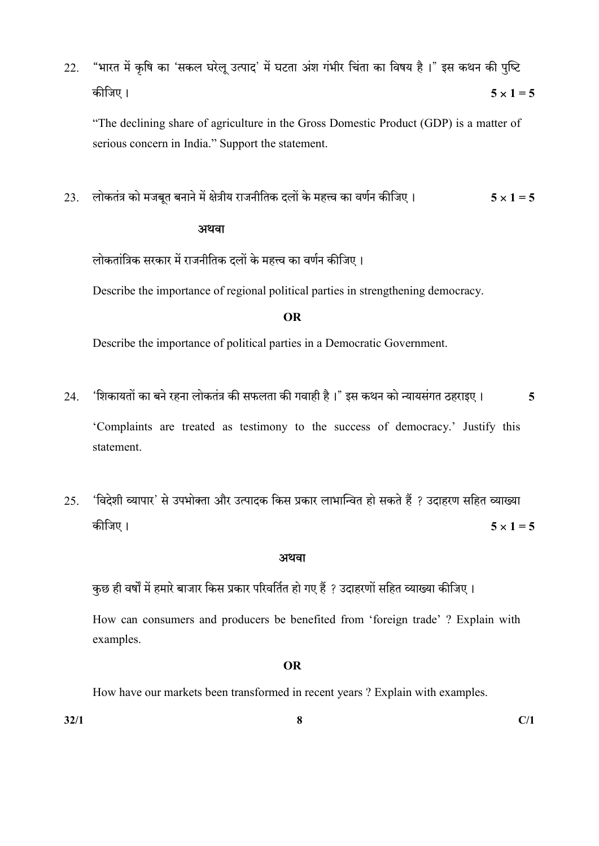22. "भारत में कृषि का 'सकल घरेलू उत्पाद' में घटता अंश गंभीर चिंता का विषय है।" इस कथन की पुष्टि 5 1 = 5

 "The declining share of agriculture in the Gross Domestic Product (GDP) is a matter of serious concern in India." Support the statement.

23. लोकतंत्र को मजबूत बनाने में क्षेत्रीय राजनीतिक दलों के महत्त्व का वर्णन कीजिए । 5 x 1 = 5

## अथवा

लोकतांत्रिक सरकार में राजनीतिक दलों के महत्त्व का वर्णन कीजिए।

Describe the importance of regional political parties in strengthening democracy.

## OR

Describe the importance of political parties in a Democratic Government.

- 24. 'शिकायतों का बने रहना लोकतंत्र की सफलता की गवाही है।" इस कथन को न्यायसंगत ठहराइए। 5 'Complaints are treated as testimony to the success of democracy.' Justify this statement.
- 25. 'विदेशी व्यापार' से उपभोक्ता और उत्पादक किस प्रकार लाभान्वित हो सकते हैं ? उदाहरण सहित व्याख्या कीजिए ।  $5 \times 1 = 5$

## अथवा

कुछ ही वर्षों में हमारे बाजार किस प्रकार परिवर्तित हो गए हैं ? उदाहरणों सहित व्याख्या कीजिए।

 How can consumers and producers be benefited from 'foreign trade' ? Explain with examples.

## OR

How have our markets been transformed in recent years ? Explain with examples.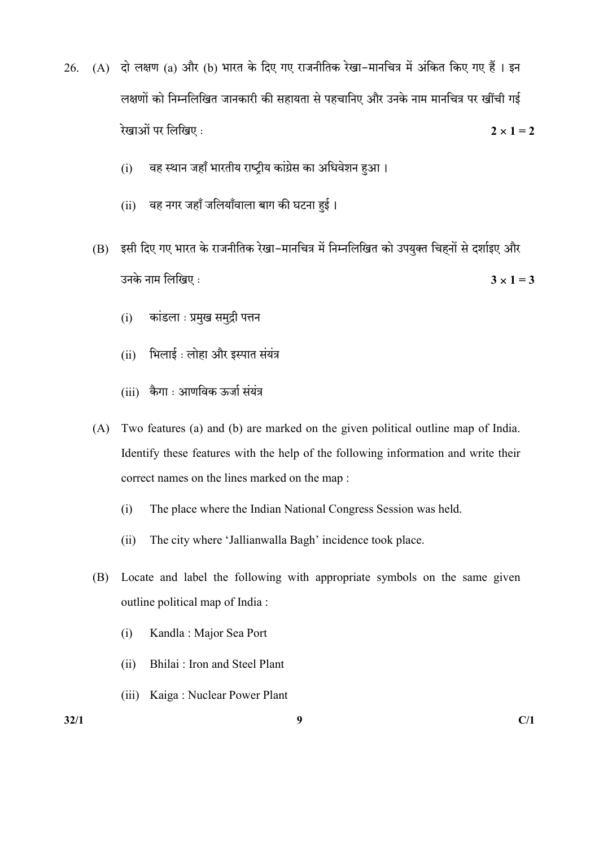- 26. (A) दो लक्षण (a) और (b) भारत के दिए गए राजनीतिक रेखा-मानचित्र में अंकित किए गए हैं। इन लक्षणों को निम्नलिखित जानकारी की सहायता से पहचानिए और उनके नाम मानचित्र पर खींची गई रेखाओं पर लिखिए:  $2 \times 1 = 2$ 
	- (i) वह स्थान जहाँ भारतीय राष्ट्रीय कांग्रेस का अधिवेशन हुआ।
	- (ii) वह नगर जहाँ जलियाँवाला बाग की घटना हुई।
	- (B) इसी दिए गए भारत के राजनीतिक रेखा-मानचित्र में निम्नलिखित को उपयुक्त चिहनों से दर्शाइए और उनके नाम लिखिए :  $3 \times 1 = 3$ 
		- (i) कांडला : प्रमुख समुद्री पत्तन
		- (ii) भिलाई: लोहा और इस्पात संयंत्र
		- (iii) कैगा : आणविक ऊर्जा संयंत्र
	- (A) Two features (a) and (b) are marked on the given political outline map of India. Identify these features with the help of the following information and write their correct names on the lines marked on the map :
		- (i) The place where the Indian National Congress Session was held.
		- (ii) The city where 'Jallianwalla Bagh' incidence took place.
	- (B) Locate and label the following with appropriate symbols on the same given outline political map of India :
		- (i) Kandla : Major Sea Port
		- (ii) Bhilai : Iron and Steel Plant
		- (iii) Kaiga : Nuclear Power Plant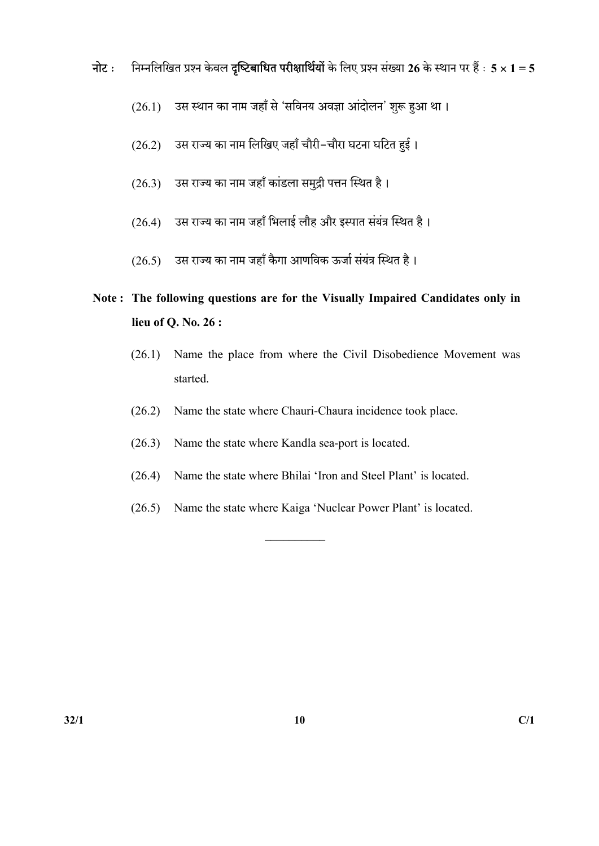- नोट : निम्नलिखित प्रश्न केवल दृष्टिबाधित परीक्षार्थियों के लिए प्रश्न संख्या 26 के स्थान पर हैं :  $5 \times 1 = 5$ 
	- (26.1) उस स्थान का नाम जहाँ से 'सविनय अवज्ञा आंदोलन' शुरू हुआ था।
	- (26.2) उस राज्य का नाम लिखिए जहाँ चौरी-चौरा घटना घटित हुई।
	- (26.3) उस राज्य का नाम जहाँ कांडला समुद्री पत्तन स्थित है।
	- (26.4) उस राज्य का नाम जहाँ भिलाई लौह और इस्पात संयंत्र स्थित है।
	- $(26.5)$  उस राज्य का नाम जहाँ कैगा आणविक ऊर्जा संयंत्र स्थित है।

# Note : The following questions are for the Visually Impaired Candidates only in lieu of Q. No. 26 :

- (26.1) Name the place from where the Civil Disobedience Movement was started.
- (26.2) Name the state where Chauri-Chaura incidence took place.
- (26.3) Name the state where Kandla sea-port is located.
- (26.4) Name the state where Bhilai 'Iron and Steel Plant' is located.
- (26.5) Name the state where Kaiga 'Nuclear Power Plant' is located.

 $\overline{\phantom{a}}$